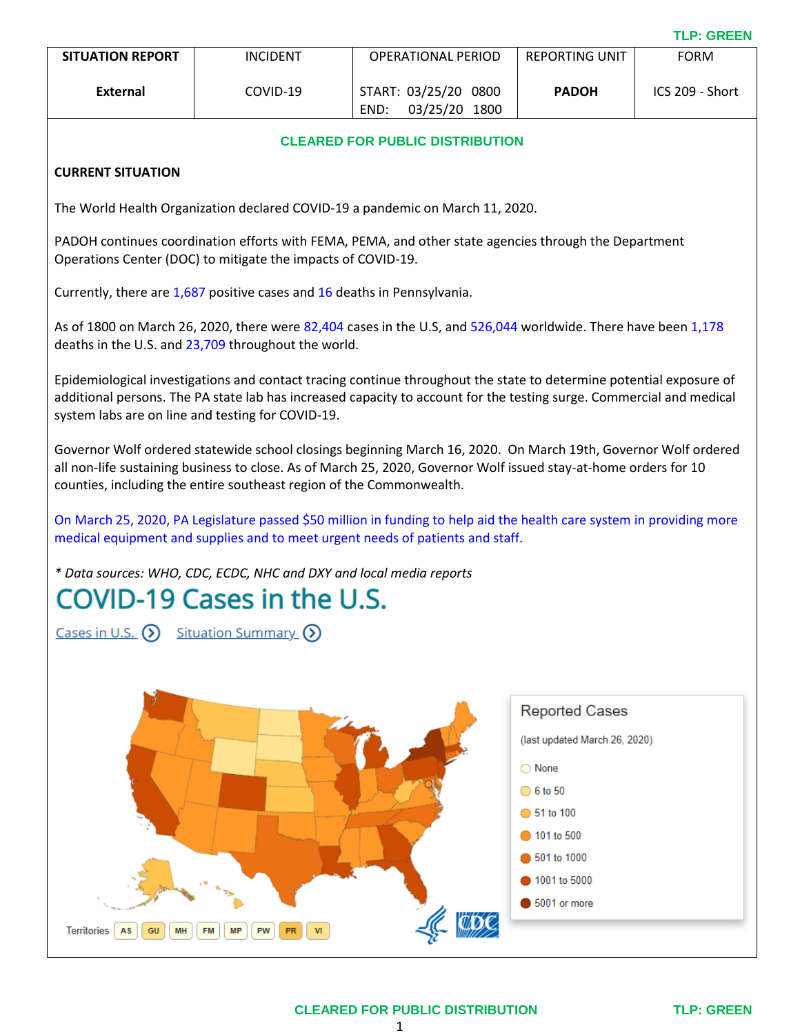| <b>SITUATION REPORT</b> | <b>INCIDENT</b> | OPERATIONAL PERIOD                                  | REPORTING UNIT | <b>FORM</b>     |
|-------------------------|-----------------|-----------------------------------------------------|----------------|-----------------|
| External                | COVID-19        | START: 03/25/20<br>0800<br>03/25/20<br>1800<br>END: | <b>PADOH</b>   | ICS 209 - Short |

## **CLEARED FOR PUBLIC DISTRIBUTION**

### **CURRENT SITUATION**

The World Health Organization declared COVID-19 a pandemic on March 11, 2020.

PADOH continues coordination efforts with FEMA, PEMA, and other state agencies through the Department Operations Center (DOC) to mitigate the impacts of COVID-19.

Currently, there are 1,687 positive cases and 16 deaths in Pennsylvania.

As of 1800 on March 26, 2020, there were 82,404 cases in the U.S, and 526,044 worldwide. There have been 1,178 deaths in the U.S. and 23,709 throughout the world.

Epidemiological investigations and contact tracing continue throughout the state to determine potential exposure of additional persons. The PA state lab has increased capacity to account for the testing surge. Commercial and medical system labs are on line and testing for COVID-19.

Governor Wolf ordered statewide school closings beginning March 16, 2020. On March 19th, Governor Wolf ordered all non-life sustaining business to close. As of March 25, 2020, Governor Wolf issued stay-at-home orders for 10 counties, including the entire southeast region of the Commonwealth.

On March 25, 2020, PA Legislature passed \$50 million in funding to help aid the health care system in providing more medical equipment and supplies and to meet urgent needs of patients and staff.

*\* Data sources: [WHO,](https://www.who.int/emergencies/diseases/novel-coronavirus-2019/situation-reports) [CDC,](https://www.cdc.gov/coronavirus/2019-ncov/index.html) [ECDC,](https://www.ecdc.europa.eu/en/geographical-distribution-2019-ncov-cases) [NHC](http://www.nhc.gov.cn/xcs/yqtb/list_gzbd.shtml) and [DXY](https://3g.dxy.cn/newh5/view/pneumonia?scene=2&clicktime=1579582238&enterid=1579582238&from=singlemessage&isappinstalled=0) and local media reports*

# COVID-19 Cases in the U.S.

Cases in U.S.  $(5)$  Situation Summary  $(5)$ 



1